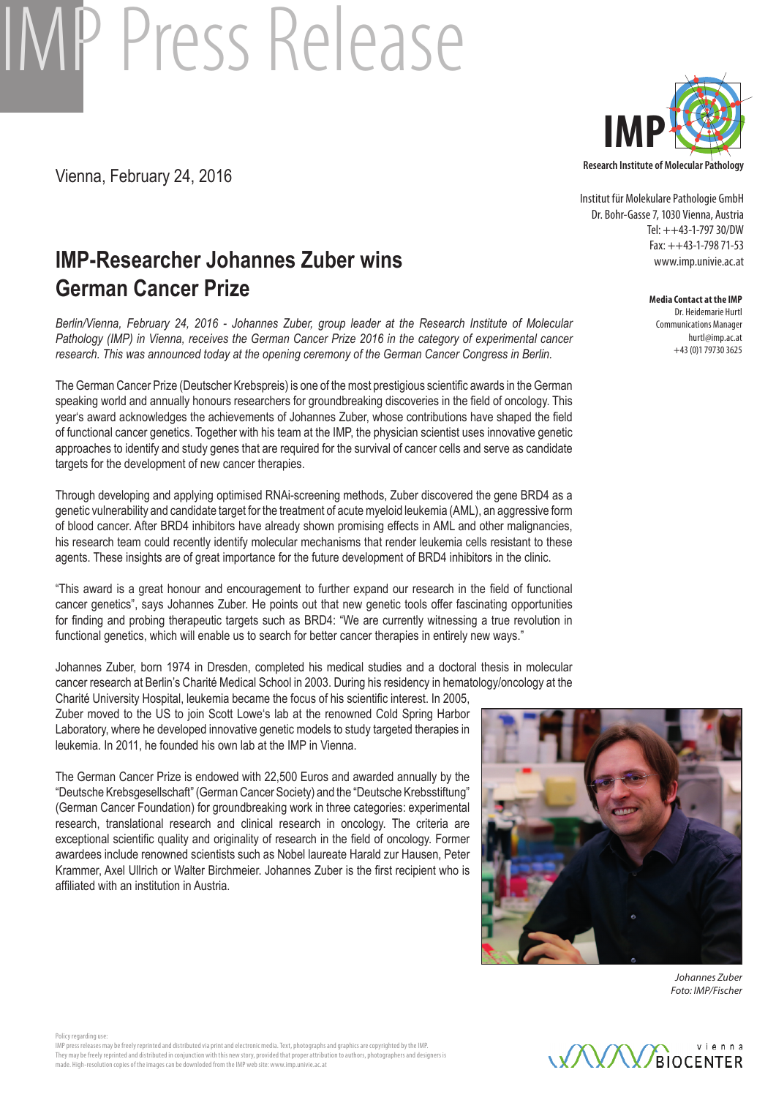# IMP Press Release

Vienna, February 24, 2016

## **IMP-Researcher Johannes Zuber wins German Cancer Prize**

*Berlin/Vienna, February 24, 2016 - Johannes Zuber, group leader at the Research Institute of Molecular Pathology (IMP) in Vienna, receives the German Cancer Prize 2016 in the category of experimental cancer research. This was announced today at the opening ceremony of the German Cancer Congress in Berlin.* 

The German Cancer Prize (Deutscher Krebspreis) is one of the most prestigious scientific awards in the German speaking world and annually honours researchers for groundbreaking discoveries in the field of oncology. This year's award acknowledges the achievements of Johannes Zuber, whose contributions have shaped the field of functional cancer genetics. Together with his team at the IMP, the physician scientist uses innovative genetic approaches to identify and study genes that are required for the survival of cancer cells and serve as candidate targets for the development of new cancer therapies.

Through developing and applying optimised RNAi-screening methods, Zuber discovered the gene BRD4 as a genetic vulnerability and candidate target for the treatment of acute myeloid leukemia (AML), an aggressive form of blood cancer. After BRD4 inhibitors have already shown promising effects in AML and other malignancies, his research team could recently identify molecular mechanisms that render leukemia cells resistant to these agents. These insights are of great importance for the future development of BRD4 inhibitors in the clinic.

"This award is a great honour and encouragement to further expand our research in the field of functional cancer genetics", says Johannes Zuber. He points out that new genetic tools offer fascinating opportunities for finding and probing therapeutic targets such as BRD4: "We are currently witnessing a true revolution in functional genetics, which will enable us to search for better cancer therapies in entirely new ways."

Johannes Zuber, born 1974 in Dresden, completed his medical studies and a doctoral thesis in molecular cancer research at Berlin's Charité Medical School in 2003. During his residency in hematology/oncology at the Charité University Hospital, leukemia became the focus of his scientific interest. In 2005,

Zuber moved to the US to join Scott Lowe's lab at the renowned Cold Spring Harbor Laboratory, where he developed innovative genetic models to study targeted therapies in leukemia. In 2011, he founded his own lab at the IMP in Vienna.

The German Cancer Prize is endowed with 22,500 Euros and awarded annually by the "Deutsche Krebsgesellschaft" (German Cancer Society) and the "Deutsche Krebsstiftung" (German Cancer Foundation) for groundbreaking work in three categories: experimental research, translational research and clinical research in oncology. The criteria are exceptional scientific quality and originality of research in the field of oncology. Former awardees include renowned scientists such as Nobel laureate Harald zur Hausen, Peter Krammer, Axel Ullrich or Walter Birchmeier. Johannes Zuber is the first recipient who is affiliated with an institution in Austria.



Institut für Molekulare Pathologie GmbH Dr. Bohr-Gasse 7, 1030 Vienna, Austria Tel: ++43-1-797 30/DW Fax: ++43-1-798 71-53 www.imp.univie.ac.at

#### **Media Contact at the IMP**

Dr. Heidemarie Hurtl Communications Manager hurtl@imp.ac.at +43 (0)1 79730 3625



*Johannes Zuber Foto: IMP/Fischer*



Policy regarding use IMP press releases may be freely reprinted and distributed via print and electronic media. Text, photographs and graphics are copyrighted by the IMP. They may be freely reprinted and distributed in conjunction with this new story, provided that proper attribution to authors, photographers and designers is made. High-resolution copies of the images can be downloded from the IMP web site: www.imp.univie.ac.at